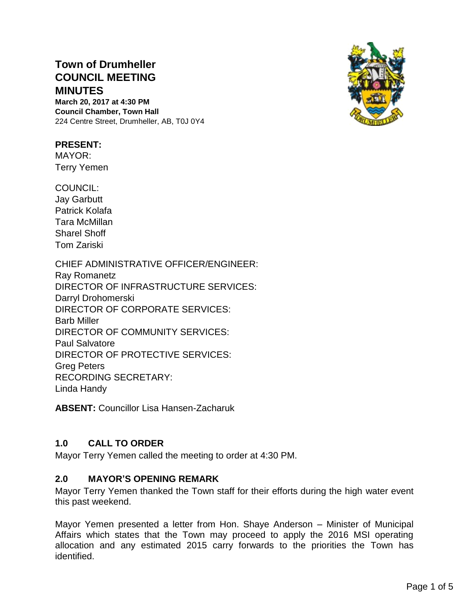# **Town of Drumheller COUNCIL MEETING MINUTES**

**March 20, 2017 at 4:30 PM Council Chamber, Town Hall** 224 Centre Street, Drumheller, AB, T0J 0Y4

#### **PRESENT:**

MAYOR: Terry Yemen

COUNCIL:

Jay Garbutt Patrick Kolafa Tara McMillan Sharel Shoff Tom Zariski

CHIEF ADMINISTRATIVE OFFICER/ENGINEER: Ray Romanetz DIRECTOR OF INFRASTRUCTURE SERVICES: Darryl Drohomerski DIRECTOR OF CORPORATE SERVICES: Barb Miller DIRECTOR OF COMMUNITY SERVICES: Paul Salvatore DIRECTOR OF PROTECTIVE SERVICES: Greg Peters RECORDING SECRETARY: Linda Handy

**ABSENT:** Councillor Lisa Hansen-Zacharuk

### **1.0 CALL TO ORDER**

Mayor Terry Yemen called the meeting to order at 4:30 PM.

### **2.0 MAYOR'S OPENING REMARK**

Mayor Terry Yemen thanked the Town staff for their efforts during the high water event this past weekend.

Mayor Yemen presented a letter from Hon. Shaye Anderson – Minister of Municipal Affairs which states that the Town may proceed to apply the 2016 MSI operating allocation and any estimated 2015 carry forwards to the priorities the Town has identified.

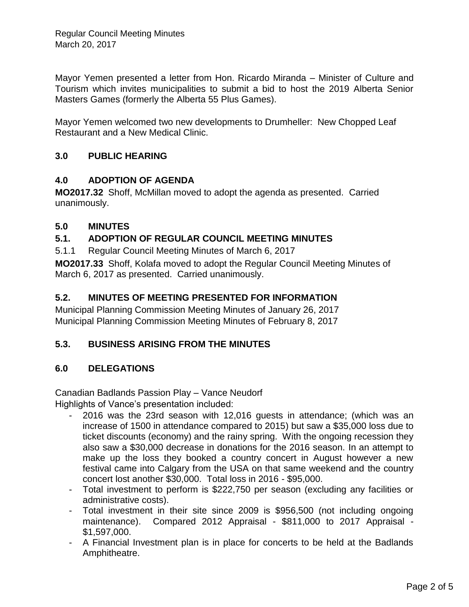Mayor Yemen presented a letter from Hon. Ricardo Miranda – Minister of Culture and Tourism which invites municipalities to submit a bid to host the 2019 Alberta Senior Masters Games (formerly the Alberta 55 Plus Games).

Mayor Yemen welcomed two new developments to Drumheller: New Chopped Leaf Restaurant and a New Medical Clinic.

# **3.0 PUBLIC HEARING**

### **4.0 ADOPTION OF AGENDA**

**MO2017.32** Shoff, McMillan moved to adopt the agenda as presented. Carried unanimously.

### **5.0 MINUTES**

### **5.1. ADOPTION OF REGULAR COUNCIL MEETING MINUTES**

5.1.1 Regular Council Meeting Minutes of March 6, 2017

**MO2017.33** Shoff, Kolafa moved to adopt the Regular Council Meeting Minutes of March 6, 2017 as presented. Carried unanimously.

### **5.2. MINUTES OF MEETING PRESENTED FOR INFORMATION**

Municipal Planning Commission Meeting Minutes of January 26, 2017 Municipal Planning Commission Meeting Minutes of February 8, 2017

# **5.3. BUSINESS ARISING FROM THE MINUTES**

### **6.0 DELEGATIONS**

Canadian Badlands Passion Play – Vance Neudorf Highlights of Vance's presentation included:

- 2016 was the 23rd season with 12,016 guests in attendance; (which was an increase of 1500 in attendance compared to 2015) but saw a \$35,000 loss due to ticket discounts (economy) and the rainy spring. With the ongoing recession they also saw a \$30,000 decrease in donations for the 2016 season. In an attempt to make up the loss they booked a country concert in August however a new festival came into Calgary from the USA on that same weekend and the country concert lost another \$30,000. Total loss in 2016 - \$95,000.
- Total investment to perform is \$222,750 per season (excluding any facilities or administrative costs).
- Total investment in their site since 2009 is \$956,500 (not including ongoing maintenance). Compared 2012 Appraisal - \$811,000 to 2017 Appraisal - \$1,597,000.
- A Financial Investment plan is in place for concerts to be held at the Badlands Amphitheatre.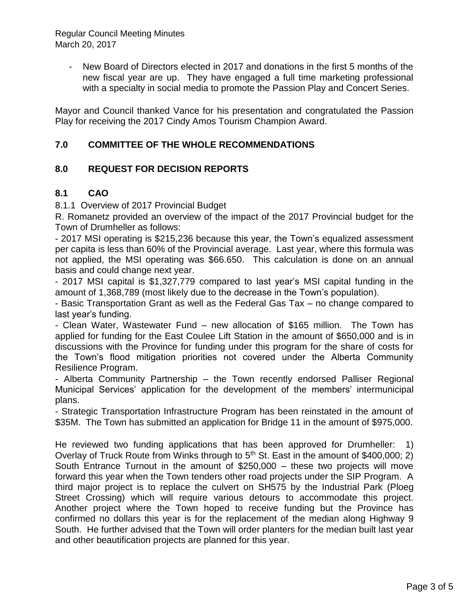Regular Council Meeting Minutes March 20, 2017

> - New Board of Directors elected in 2017 and donations in the first 5 months of the new fiscal year are up. They have engaged a full time marketing professional with a specialty in social media to promote the Passion Play and Concert Series.

Mayor and Council thanked Vance for his presentation and congratulated the Passion Play for receiving the 2017 Cindy Amos Tourism Champion Award.

### **7.0 COMMITTEE OF THE WHOLE RECOMMENDATIONS**

#### **8.0 REQUEST FOR DECISION REPORTS**

#### **8.1 CAO**

8.1.1 Overview of 2017 Provincial Budget

R. Romanetz provided an overview of the impact of the 2017 Provincial budget for the Town of Drumheller as follows:

- 2017 MSI operating is \$215,236 because this year, the Town's equalized assessment per capita is less than 60% of the Provincial average. Last year, where this formula was not applied, the MSI operating was \$66.650. This calculation is done on an annual basis and could change next year.

- 2017 MSI capital is \$1,327,779 compared to last year's MSI capital funding in the amount of 1,368,789 (most likely due to the decrease in the Town's population).

- Basic Transportation Grant as well as the Federal Gas Tax – no change compared to last year's funding.

- Clean Water, Wastewater Fund – new allocation of \$165 million. The Town has applied for funding for the East Coulee Lift Station in the amount of \$650,000 and is in discussions with the Province for funding under this program for the share of costs for the Town's flood mitigation priorities not covered under the Alberta Community Resilience Program.

- Alberta Community Partnership – the Town recently endorsed Palliser Regional Municipal Services' application for the development of the members' intermunicipal plans.

- Strategic Transportation Infrastructure Program has been reinstated in the amount of \$35M. The Town has submitted an application for Bridge 11 in the amount of \$975,000.

He reviewed two funding applications that has been approved for Drumheller: 1) Overlay of Truck Route from Winks through to  $5<sup>th</sup>$  St. East in the amount of \$400,000; 2) South Entrance Turnout in the amount of \$250,000 – these two projects will move forward this year when the Town tenders other road projects under the SIP Program. A third major project is to replace the culvert on SH575 by the Industrial Park (Ploeg Street Crossing) which will require various detours to accommodate this project. Another project where the Town hoped to receive funding but the Province has confirmed no dollars this year is for the replacement of the median along Highway 9 South. He further advised that the Town will order planters for the median built last year and other beautification projects are planned for this year.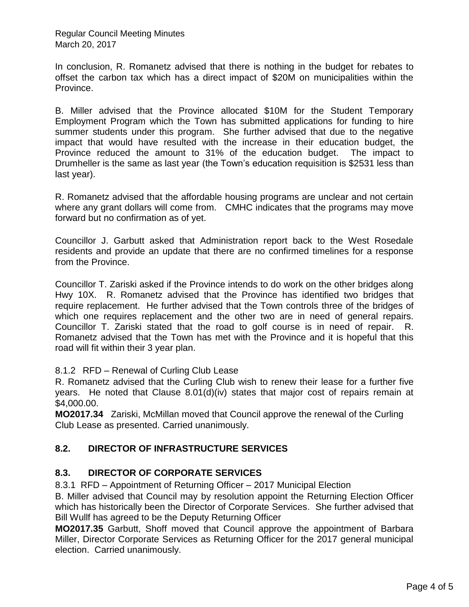Regular Council Meeting Minutes March 20, 2017

In conclusion, R. Romanetz advised that there is nothing in the budget for rebates to offset the carbon tax which has a direct impact of \$20M on municipalities within the Province.

B. Miller advised that the Province allocated \$10M for the Student Temporary Employment Program which the Town has submitted applications for funding to hire summer students under this program. She further advised that due to the negative impact that would have resulted with the increase in their education budget, the Province reduced the amount to 31% of the education budget. The impact to Drumheller is the same as last year (the Town's education requisition is \$2531 less than last year).

R. Romanetz advised that the affordable housing programs are unclear and not certain where any grant dollars will come from. CMHC indicates that the programs may move forward but no confirmation as of yet.

Councillor J. Garbutt asked that Administration report back to the West Rosedale residents and provide an update that there are no confirmed timelines for a response from the Province.

Councillor T. Zariski asked if the Province intends to do work on the other bridges along Hwy 10X. R. Romanetz advised that the Province has identified two bridges that require replacement. He further advised that the Town controls three of the bridges of which one requires replacement and the other two are in need of general repairs. Councillor T. Zariski stated that the road to golf course is in need of repair. R. Romanetz advised that the Town has met with the Province and it is hopeful that this road will fit within their 3 year plan.

8.1.2 RFD – Renewal of Curling Club Lease

R. Romanetz advised that the Curling Club wish to renew their lease for a further five years. He noted that Clause 8.01(d)(iv) states that major cost of repairs remain at \$4,000.00.

**MO2017.34** Zariski, McMillan moved that Council approve the renewal of the Curling Club Lease as presented. Carried unanimously.

# **8.2. DIRECTOR OF INFRASTRUCTURE SERVICES**

# **8.3. DIRECTOR OF CORPORATE SERVICES**

8.3.1 RFD – Appointment of Returning Officer – 2017 Municipal Election

B. Miller advised that Council may by resolution appoint the Returning Election Officer which has historically been the Director of Corporate Services. She further advised that Bill Wullf has agreed to be the Deputy Returning Officer

**MO2017.35** Garbutt, Shoff moved that Council approve the appointment of Barbara Miller, Director Corporate Services as Returning Officer for the 2017 general municipal election. Carried unanimously.